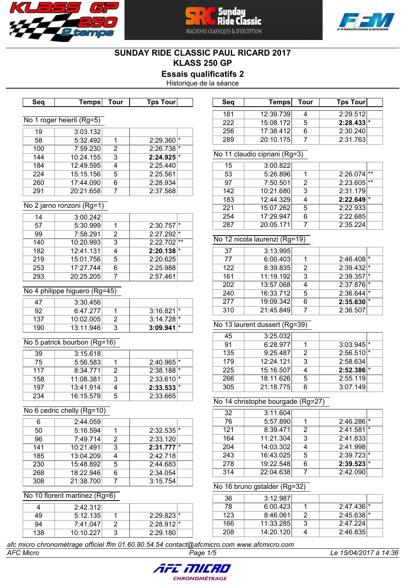





# **SUNDAY RIDE CLASSIC PAUL RICARD 2017 KLASS 250 GP**

**Essais qualificatifs 2**

Historique de la séance

| Seq             | <b>Temps</b>                  | <b>Tour</b>               | <b>Tps Tour</b>                     | Seq             | <b>Temps</b>                      | <b>Tour</b>             | <b>Tps Tour</b>         |
|-----------------|-------------------------------|---------------------------|-------------------------------------|-----------------|-----------------------------------|-------------------------|-------------------------|
|                 |                               |                           |                                     | 181             | 12:39.739                         | $\overline{\mathbf{4}}$ | 2:29.512                |
|                 | No 1 roger heierli (Rg=5)     |                           |                                     | 222             | 15:08.172                         | $\overline{5}$          | $2:28.433$ <sup>*</sup> |
| 19              | 3:03.132                      |                           |                                     | 256             | 17:38.412                         | $\overline{6}$          | 2:30.240                |
| $\overline{58}$ | 5:32.492                      | 1                         | $2:29.360$ <sup>*</sup>             | 289             | 20:10.175                         | $\overline{7}$          | 2:31.763                |
| 100             | 7:59.230                      | $\overline{2}$            | $2:26.738$ <sup>*</sup>             |                 |                                   |                         |                         |
| 144             | 10:24.155                     | $\overline{\overline{3}}$ | $2:24.925$ <sup>*</sup>             |                 | No 11 claudio cipriani (Rg=3)     |                         |                         |
| 184             | 12:49.595                     | $\overline{4}$            | 2:25.440                            | 15              | 3:00.822                          |                         |                         |
| 224             | 15:15.156                     | $\overline{5}$            | 2:25.561                            | $\overline{53}$ | 5:26.896                          | 1                       | $2:26.074$ **           |
| 260             | 17:44.090                     | $\overline{6}$            | 2:28.934                            | 97              | 7:50.501                          | $\overline{2}$          | $2:23.605$ **           |
| 291             | 20:21.658                     | $\overline{7}$            | 2:37.568                            | 142             | 10:21.680                         | $\overline{3}$          | 2:31.179                |
|                 |                               |                           |                                     | 183             | 12:44.329                         | $\overline{4}$          | $2:22.649$ <sup>*</sup> |
|                 | No 2 jarno ronzoni (Rg=1)     |                           |                                     | 221             | 15:07.262                         | $\overline{5}$          | 2:22.933                |
| 14              | 3:00.242                      |                           |                                     | 254             | 17:29.947                         | $6\overline{6}$         | 2:22.685                |
| $\overline{57}$ | 5:30.999                      | $\overline{1}$            | $2:30.757$ <sup>*</sup>             | 287             | 20:05.171                         | $\overline{7}$          | 2:35.224                |
| 99              | 7:58.291                      | $\overline{2}$            | $2:27.292$ <sup>*</sup>             |                 |                                   |                         |                         |
| 140             | 10:20.993                     | $\overline{3}$            | $2:22.702$ **                       |                 | No 12 nicola laurenzi (Rg=19)     |                         |                         |
| 182             | 12:41.131                     | 4                         | $2:20.138$ <sup>*</sup>             | 37              | 3:13.995                          |                         |                         |
| 219             | 15:01.756                     | $\overline{5}$            | 2:20.625                            | $\overline{77}$ | 6:00.403                          | $\mathbf 1$             | $2:46.408$ <sup>*</sup> |
| 253             | 17:27.744                     | $\overline{6}$            | 2:25.988                            | 122             | 8:39.835                          | $\overline{2}$          | $2:39.432$ <sup>*</sup> |
| 293             | 20:25.205                     | $\overline{7}$            | 2:57.461                            | 161             | 11:19.192                         | $\overline{3}$          | $2:39.357$ *            |
|                 |                               |                           |                                     | 202             | 13:57.068                         | $\overline{4}$          | $2:37.876$ <sup>*</sup> |
|                 | No 4 philippe higuero (Rg=45) |                           |                                     | 240             | 16:33.712                         | $\overline{5}$          | $2:36.644$ <sup>*</sup> |
| 47              | 3:30.456                      |                           |                                     | 277             | 19:09.342                         | $\overline{6}$          | $2:35.630$ <sup>*</sup> |
| 92              | 6:47.277                      | 1                         | $3:16.821$ <sup>*</sup>             | 310             | 21:45.849                         | $\overline{7}$          | 2:36.507                |
| 137             | 10:02.005                     | $\overline{2}$            | $3:14.728$ <sup>*</sup>             |                 |                                   |                         |                         |
| 190             | 13:11.946                     | $\overline{3}$            | $3:09.941$ <sup>*</sup>             |                 | No 13 laurent dussert (Rg=39)     |                         |                         |
|                 |                               |                           |                                     | 45              | 3:25.032                          |                         |                         |
|                 | No 5 patrick bourbon (Rg=16)  |                           |                                     | 91              | 6:28.977                          | 1                       | $3:03.945$ <sup>*</sup> |
| $\overline{39}$ | 3:15.618                      |                           |                                     | 135             | 9:25.487                          | $\overline{2}$          | $2:56.510$ <sup>*</sup> |
| $\overline{75}$ |                               | $\mathbf 1$               | $2:40.965$ <sup>*</sup>             | 179             | 12:24.121                         | $\overline{3}$          | 2:58.634                |
|                 | 5:56.583                      |                           |                                     |                 |                                   | $\overline{4}$          |                         |
| 117             | 8:34.771                      | $\overline{2}$            |                                     | 225             | 15:16.507                         |                         | $2:52.386$ <sup>*</sup> |
| 158             | 11:08.381                     | $\overline{3}$            | $2:38.188$ <sup>*</sup>             | 266             | 18:11.626                         | 5                       | 2:55.119                |
| 197             |                               | $\overline{4}$            | $2:33.610$ <sup>*</sup>             | 305             | 21:18.775                         | $\overline{6}$          | 3:07.149                |
| 234             | 13:41.914<br>16:15.579        | $\overline{5}$            | $2:33.533$ <sup>*</sup><br>2:33.665 |                 |                                   |                         |                         |
|                 |                               |                           |                                     |                 | No 14 christophe bourgade (Rg=27) |                         |                         |
|                 | No 6 cedric chelly (Rg=10)    |                           |                                     | 32              | 3:11.604                          |                         |                         |
| 6               | 2:44.059                      |                           |                                     | 76              | 5:57.890                          | $\mathbf 1$             | 2:46.286 *              |
| 50              | 5:16.594                      | 1                         | $2:32.535$ <sup>*</sup>             | 121             | 8:39.471                          | $\overline{2}$          | $2:41.581$ <sup>*</sup> |
| 96              | 7:49.714                      | $\overline{2}$            | 2:33.120                            | 164             | 11:21.304                         | $\overline{3}$          | 2:41.833                |
| 141             | 10:21.491                     | 3                         | $2:31.777$ <sup>*</sup>             | 204             | 14:03.302                         | $\overline{4}$          | 2:41.998                |
| 185             | 13:04.209                     | 4                         | 2:42.718                            | 243             | 16:43.025                         | $\overline{5}$          | $2:39.723$ <sup>*</sup> |
| 230             | 15:48.892                     | 5                         | 2:44.683                            | 278             | 19:22.548                         | 6                       | $2:39.523$ <sup>*</sup> |
| 268             | 18:22.946                     | 6                         | 2:34.054                            | 314             | 22:04.638                         | $\overline{7}$          | 2:42.090                |
| 308             | 21:38.700                     | $\overline{7}$            | 3:15.754                            |                 |                                   |                         |                         |
|                 |                               |                           |                                     |                 | No 16 bruno gstalder (Rg=32)      |                         |                         |
|                 | No 10 florent martinez (Rg=6) |                           |                                     | 36              | 3:12.987                          |                         |                         |
| 4               | 2:42.312                      |                           |                                     | 78              | 6:00.423                          | 1                       | $2:47.436$ <sup>*</sup> |
| 49              | 5:12.135                      | 1                         | $2:29.823$ <sup>*</sup>             | 123             | 8:46.061                          | $\overline{2}$          | $2:45.638$ <sup>*</sup> |
| 94              |                               |                           |                                     | 166             | 11:33.285                         | $\overline{3}$          | 2:47.224                |
| 138             | 7:41.047<br>10:10.227         | $\overline{2}$<br>3       | $2:28.912$ <sup>*</sup><br>2:29.180 | 208             | 14:20.120                         | $\overline{4}$          | 2:46.835                |

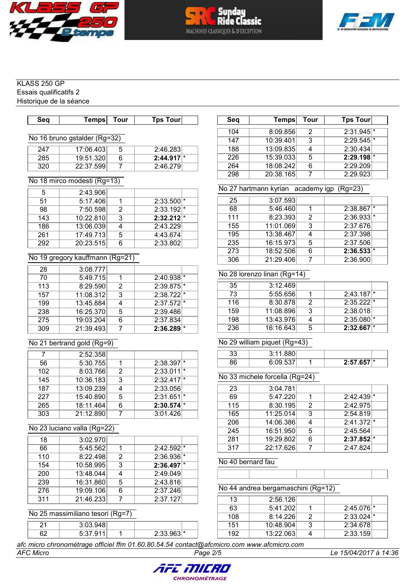





Essais qualificatifs 2 Historique de la séance

| Seq | Tempsl                       | Tour | <b>Tps Tour</b>         | Seq | Temps     | Tour           | Tps Tour |
|-----|------------------------------|------|-------------------------|-----|-----------|----------------|----------|
|     |                              |      |                         | 104 | 8:09.856  | 2              | 2:31.945 |
|     | No 16 bruno gstalder (Rg=32) |      |                         | 147 | 10:39.401 | 3              | 2:29.545 |
| 247 | 17:06.403                    | 5    | 2:46.283                | 188 | 13:09.835 | $\overline{4}$ | 2:30.434 |
| 285 | 19:51.320                    | 6    | $2:44.917$ <sup>*</sup> | 226 | 15:39.033 | 5              | 2:29.198 |
| 320 | 22:37.599                    |      | 2:46.279                | 264 | 18:08.242 | 6              | 2:29.209 |
|     |                              |      |                         | 298 | 20:38.165 |                | 2:29.923 |
|     | No 18 mirco modesti (Rg=13)  |      |                         |     |           |                |          |

# $5 \t 2:43.906$

| 51  | 5:17.406  |   | $2:33.500$ <sup>*</sup> |  |
|-----|-----------|---|-------------------------|--|
| 98  | 7:50.598  |   | $2:33.192$ <sup>*</sup> |  |
| 143 | 10:22.810 | 3 | $2:32.212$ <sup>*</sup> |  |
| 186 | 13:06.039 |   | 2:43.229                |  |
| 261 | 17:49.713 | 5 | 4:43.674                |  |
| 292 | 20:23.515 |   | 2:33.802                |  |

# No 19 gregory kauffmann (Rg=21)

| 28  | 3:08.777  |   |                         |         |
|-----|-----------|---|-------------------------|---------|
| 70  | 5:49.715  |   | $2:40.938$ <sup>*</sup> |         |
| 113 | 8:29.590  | 2 | $2:39.875$ <sup>*</sup> |         |
| 157 | 11:08.312 | 3 | $2:38.722$ <sup>*</sup> |         |
| 199 | 13:45.884 | 4 | $2:37.572$ <sup>*</sup> |         |
| 238 | 16:25.370 | 5 | 2:39.486                |         |
| 275 | 19:03.204 | 6 | 2:37.834                |         |
| 309 | 21:39.493 |   | 2:36.289                | $\star$ |

# No 21 bertrand gold (Rg=9)

|     | 2:52.358  |               |                         |
|-----|-----------|---------------|-------------------------|
| 56  | 5:30.755  |               | $2:38.397$ <sup>*</sup> |
| 102 | 8:03.766  | $\mathcal{P}$ | $2:33.011$ <sup>*</sup> |
| 145 | 10:36.183 | 3             | 2:32.417                |
| 187 | 13:09.239 |               | 2:33.056                |
| 227 | 15:40.890 | 5             | 2:31.651                |
| 265 | 18:11.464 | հ             | $2:30.574$ <sup>*</sup> |
| 303 | 21:12.890 |               | 3:01.426                |

# No 23 luciano valla (Rg=22)

| 18  | 3:02.970  |   |                         |   |
|-----|-----------|---|-------------------------|---|
| 66  | 5:45.562  |   | $2:42.592$ <sup>*</sup> |   |
| 110 | 8:22.498  | 2 | 2:36.936                | ₩ |
| 154 | 10:58.995 | 3 | $2:36.497$ <sup>*</sup> |   |
| 200 | 13:48.044 | 4 | 2:49.049                |   |
| 239 | 16:31.860 | 5 | 2:43.816                |   |
| 276 | 19:09.106 | 6 | 2:37.246                |   |
| 311 | 21:46.233 |   | 2:37.127                |   |

# No 25 massimiliano tesori (Rg=7)

|   | 0.00010 |                                    |  |
|---|---------|------------------------------------|--|
|   |         |                                    |  |
| r |         | $\sim$ $\sim$ $\sim$ $\sim$ $\sim$ |  |
|   |         |                                    |  |

| әеч | <b>Temps</b> | ı our | <b>IDS TOUL</b>         |
|-----|--------------|-------|-------------------------|
| 104 | 8:09.856     | 2     | $2:31.945$ <sup>*</sup> |
| 147 | 10:39.401    | 3     | $2:29.545$ <sup>*</sup> |
| 188 | 13:09.835    |       | 2:30.434                |
| 226 | 15:39.033    | 5     | $2:29.198$ <sup>*</sup> |
| 264 | 18:08.242    |       | 2:29.209                |
| 298 | 20:38.165    |       | 2:29.923                |

# No 27 hartmann kyrian academy igp (Rg=23)

| 25  | 3:07.593  |   |                         |  |
|-----|-----------|---|-------------------------|--|
| 68  | 5:46.460  |   | $2:38.867$ <sup>*</sup> |  |
| 111 | 8:23.393  | 2 | $2:36.933*$             |  |
| 155 | 11:01.069 | 3 | 2:37.676                |  |
| 195 | 13:38.467 |   | 2:37.398                |  |
| 235 | 16:15.973 | 5 | 2:37.506                |  |
| 273 | 18:52.506 | 6 | $2:36.533$ <sup>*</sup> |  |
| 306 | 21:29.406 |   | 2:36.900                |  |

# No 28 lorenzo linari (Rg=14)

| 35  | 3:12.469  |                         |  |
|-----|-----------|-------------------------|--|
| 73  | 5:55.656  | $2:43.187$ <sup>*</sup> |  |
| 116 | 8:30.878  | $2:35.222$ <sup>*</sup> |  |
| 159 | 11:08.896 | 2:38.018                |  |
| 198 | 13:43.976 | $2:35.080$ <sup>*</sup> |  |
| 236 | 16:16.643 | $2:32.667$ <sup>*</sup> |  |

# No 29 william piquet (Rg=43)

| רי | $\sim$ $\sim$ $\sim$<br>?∙1<br>323 I I |                |  |
|----|----------------------------------------|----------------|--|
|    | 0 537                                  | 2.57657<br>vv, |  |

# No 33 michele forcella (Rg=24)

| 3:04.781  |               |                                                 |
|-----------|---------------|-------------------------------------------------|
| 5:47.220  |               | 2:42.439                                        |
|           | $\mathcal{P}$ | 2:42.975                                        |
|           | 3             | 2:54.819                                        |
|           |               | $2:41.372$ <sup>*</sup>                         |
| 16:51.950 | 5             | 2:45.564                                        |
|           | 6             | $2:37.852$ <sup>*</sup>                         |
| 22:17.626 |               | 2:47.824                                        |
|           |               | 8:30.195<br>11:25.014<br>14:06.386<br>19:29.802 |

#### No 40 bernard fau

### No 44 andrea bergamaschini (Rg=12) 13 2:56.126 63 5:41.202 1 2:45.076<br>108 8:14.226 2 2:33.024 108 8:14.226 2 2:33.024<br>151 10:48.904 3 2:34.678 10:48.904 3 2:34.678 13:22.063 4 2:33.159

*afc micro chronométrage officiel ffm 01.60.80.54.54 contact@afcmicro.com www.afcmicro.com*



*AFC Micro Page 2/5 Le 15/04/2017 à 14:36*

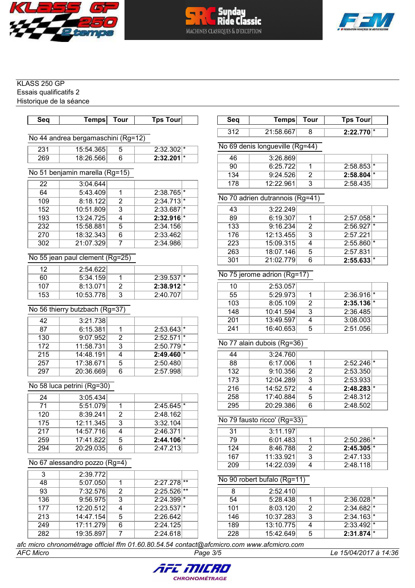





Essais qualificatifs 2 Historique de la séance

| Seq             | Temps                                                                                   | <b>Tour</b>             | <b>Tps Tour</b>          | Seq                         | <b>Temps</b>                    | <b>Tour</b>    | <b>Tps Tour</b>         |  |  |
|-----------------|-----------------------------------------------------------------------------------------|-------------------------|--------------------------|-----------------------------|---------------------------------|----------------|-------------------------|--|--|
|                 | No 44 andrea bergamaschini (Rg=12)                                                      |                         |                          | 312                         | 21:58.667                       | 8              | $2:22.770$ <sup>*</sup> |  |  |
| 231             | 15:54.365                                                                               | 5                       | $2:32.302$ <sup>*</sup>  |                             | No 69 denis longueville (Rg=44) |                |                         |  |  |
| 269             | 18:26.566                                                                               | $\overline{6}$          | $2:32.201$ <sup>*</sup>  | 46                          | 3:26.869                        |                |                         |  |  |
|                 |                                                                                         |                         |                          | 90                          | 6:25.722                        | $\overline{1}$ | $2:58.853$ <sup>*</sup> |  |  |
|                 | No 51 benjamin marella (Rg=15)                                                          |                         |                          | 134                         | 9:24.526                        | $\overline{2}$ | $2:58.804$ <sup>*</sup> |  |  |
| 22              | 3:04.644                                                                                |                         |                          | 178                         | 12:22.961                       | $\overline{3}$ | 2:58.435                |  |  |
| 64              | 5:43.409                                                                                | $\mathbf{1}$            | $2:38.765$ <sup>*</sup>  |                             |                                 |                |                         |  |  |
| 109             | 8:18.122                                                                                | $\overline{2}$          | $2:34.713$ <sup>*</sup>  |                             | No 70 adrien dutrannois (Rg=41) |                |                         |  |  |
| 152             | 10:51.809                                                                               | 3                       | $2:33.687$ <sup>*</sup>  | 43                          | 3:22.249                        |                |                         |  |  |
| 193             | 13:24.725                                                                               | $\overline{\mathbf{4}}$ | $2:32.916$ <sup>*</sup>  | 89                          | 6:19.307                        | $\overline{1}$ | $2:57.058$ <sup>*</sup> |  |  |
| 232             | 15:58.881                                                                               | $\overline{5}$          | 2:34.156                 | 133                         | 9:16.234                        | $\overline{2}$ | $2:56.927$ <sup>*</sup> |  |  |
| 270             | 18:32.343                                                                               | $\overline{6}$          | 2:33.462                 | 176                         | 12:13.455                       | $\overline{3}$ | 2:57.221                |  |  |
| 302             | 21:07.329                                                                               | $\overline{7}$          | 2:34.986                 | 223                         | 15:09.315                       | $\overline{4}$ | $2:55.860$ <sup>*</sup> |  |  |
|                 |                                                                                         |                         |                          | 263                         | 18:07.146                       | 5              | 2:57.831                |  |  |
|                 | No 55 jean paul clement (Rg=25)                                                         |                         |                          | 301                         | 21:02.779                       | $\overline{6}$ | $2:55.633$ <sup>*</sup> |  |  |
| $\overline{12}$ | 2:54.622                                                                                |                         |                          |                             |                                 |                |                         |  |  |
| $\overline{60}$ | 5:34.159                                                                                | $\mathbf{1}$            | $2:39.537*$              | No 75 jerome adrion (Rg=17) |                                 |                |                         |  |  |
| 107             | 8:13.071                                                                                | $\overline{2}$          | $2:38.912$ <sup>*</sup>  | 10                          | 2:53.057                        |                |                         |  |  |
| 153             | 10:53.778                                                                               | $\overline{3}$          | 2:40.707                 | $\overline{55}$             | 5:29.973                        | $\mathbf{1}$   | $2:36.916$ <sup>*</sup> |  |  |
|                 |                                                                                         |                         |                          | 103                         | 8:05.109                        | $\overline{2}$ | $2:35.136$ <sup>*</sup> |  |  |
|                 | No 56 thierry butzbach (Rg=37)                                                          |                         |                          | 148                         | 10:41.594                       | $\overline{3}$ | 2:36.485                |  |  |
| 42              | 3:21.738                                                                                |                         |                          | 201                         | 13:49.597                       | $\overline{4}$ | 3:08.003                |  |  |
| 87              | 6:15.381                                                                                | 1                       | $2:53.643$ <sup>*</sup>  | 241                         | 16:40.653                       | $\overline{5}$ | 2:51.056                |  |  |
| 130             | 9:07.952                                                                                | $\overline{2}$          | $2:52.571$ <sup>*</sup>  |                             |                                 |                |                         |  |  |
| 172             | 11:58.731                                                                               | $\overline{3}$          | $2:50.779$ <sup>*</sup>  | No 77 alain dubois (Rg=36)  |                                 |                |                         |  |  |
| 215             | 14:48.191                                                                               | $\overline{\mathbf{4}}$ | $2:49.460$ <sup>*</sup>  | 44                          | 3:24.760                        |                |                         |  |  |
| 257             | 17:38.671                                                                               | $\overline{5}$          | 2:50.480                 | 88                          | 6:17.006                        | $\overline{1}$ | $2:52.246$ <sup>*</sup> |  |  |
| 297             | 20:36.669                                                                               | $\overline{6}$          | 2:57.998                 | 132                         | 9:10.356                        | $\overline{2}$ | 2:53.350                |  |  |
|                 |                                                                                         |                         |                          | 173                         | 12:04.289                       | $\overline{3}$ | 2:53.933                |  |  |
|                 | No 58 luca petrini (Rg=30)                                                              |                         |                          | 216                         | 14:52.572                       | $\overline{4}$ | $2:48.283$ <sup>*</sup> |  |  |
| 24              | 3:05.434                                                                                |                         |                          | 258                         | 17:40.884                       | $\overline{5}$ | 2:48.312                |  |  |
| $\overline{71}$ | 5:51.079                                                                                | 1                       | $2:45.645$ <sup>*</sup>  | 295                         | 20:29.386                       | 6              | 2:48.502                |  |  |
| 120             | 8:39.241                                                                                | $\overline{2}$          | 2:48.162                 |                             |                                 |                |                         |  |  |
| 175             | 12:11.345                                                                               | $\overline{3}$          | 3:32.104                 |                             | No 79 fausto ricco' (Rg=33)     |                |                         |  |  |
| 217             | 14:57.716                                                                               | 4                       | 2:46.371                 | 31                          | 3:11.197                        |                |                         |  |  |
| 259             | 17:41.822                                                                               | 5                       | $2:44.106$ <sup>*</sup>  | 79                          | 6:01.483                        | 1              | $2:50.286$ <sup>*</sup> |  |  |
| 294             | 20:29.035                                                                               | 6                       | 2:47.213                 | 124                         | 8:46.788                        | $\overline{2}$ | $2:45.305$ <sup>*</sup> |  |  |
|                 |                                                                                         |                         |                          | 167                         | 11:33.921                       | $\overline{3}$ | 2:47.133                |  |  |
|                 | No 67 alessandro pozzo (Rg=4)                                                           |                         |                          | 209                         | 14:22.039                       | 4              | 2:48.118                |  |  |
| 3               | 2:39.772                                                                                |                         |                          |                             |                                 |                |                         |  |  |
| 48              | 5:07.050                                                                                | 1                       | $2:27.278$ <sup>**</sup> |                             | No 90 robert bufalo (Rg=11)     |                |                         |  |  |
| 93              | 7:32.576                                                                                | $\overline{2}$          | $2:25.526$ **            | 8                           | 2:52.410                        |                |                         |  |  |
| 136             | 9:56.975                                                                                | $\overline{3}$          | $2:24.399$ <sup>*</sup>  | 54                          | 5:28.438                        | 1              | $2:36.028$ <sup>*</sup> |  |  |
| 177             | 12:20.512                                                                               | 4                       | $2:23.537$ <sup>*</sup>  | 101                         | 8:03.120                        | $\overline{2}$ | $2:34.682$ <sup>*</sup> |  |  |
| 213             | 14:47.154                                                                               | 5                       | 2:26.642                 | 146                         | 10:37.283                       | $\overline{3}$ | $2:34.163$ <sup>*</sup> |  |  |
| 249             | 17:11.279                                                                               | 6                       | 2:24.125                 | 189                         | 13:10.775                       | 4              | $2:33.492$ <sup>*</sup> |  |  |
| 282             | 19:35.897                                                                               | 7                       | 2:24.618                 | 228                         | 15:42.649                       | 5              | $2:31.874$ <sup>*</sup> |  |  |
|                 | c micro chronomátrage officiel ffm 01.60.80.54.54 contact@afcmicro com www.afcmicro.com |                         |                          |                             |                                 |                |                         |  |  |

*AFC Micro Page 3/5 Le 15/04/2017 à 14:36 afc micro chronométrage officiel ffm 01.60.80.54.54 contact@afcmicro.com www.afcmicro.com*

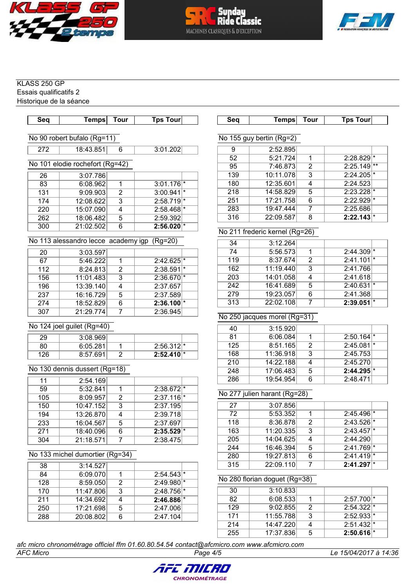





Essais qualificatifs 2 Historique de la séance

| <b>Seq</b>                      | Temps                               | <b>Tour</b>    | <b>Tps Tour</b>         |  | Seq                          | <b>Temps</b>                   | <b>Tour</b>               | <b>Tps Tour</b>         |  |
|---------------------------------|-------------------------------------|----------------|-------------------------|--|------------------------------|--------------------------------|---------------------------|-------------------------|--|
|                                 | No 90 robert bufalo (Rg=11)         |                |                         |  |                              | No 155 guy bertin (Rg=2)       |                           |                         |  |
| 272                             | 18:43.851                           | 6              | 3:01.202                |  | 9                            | 2:52.895                       |                           |                         |  |
|                                 |                                     |                |                         |  | 52                           | 5:21.724                       | 1                         | $2:28.829$ <sup>*</sup> |  |
| No 101 elodie rochefort (Rg=42) |                                     |                |                         |  | 95                           | 7:46.873                       | $\overline{2}$            | $2:25.149$ **           |  |
| 26                              | 3:07.786                            |                |                         |  | 139                          | 10:11.078                      | 3                         | $2:24.205$ <sup>*</sup> |  |
| $\overline{83}$                 | 6:08.962                            | $\mathbf{1}$   | $3:01.176$ <sup>*</sup> |  | 180                          | 12:35.601                      | $\overline{4}$            | 2:24.523                |  |
| 131                             | 9:09.903                            | $\overline{2}$ | $3:00.941$ <sup>*</sup> |  | 218                          | 14:58.829                      | 5                         | $2:23.228$ <sup>*</sup> |  |
| 174                             | 12:08.622                           | $\overline{3}$ | $2:58.719$ <sup>*</sup> |  | 251                          | 17:21.758                      | 6                         | $2:22.929$ <sup>*</sup> |  |
| 220                             | 15:07.090                           | 4              | $2:58.468$ <sup>*</sup> |  | 283                          | 19:47.444                      | $\overline{7}$            | 2:25.686                |  |
| 262                             | 18:06.482                           | 5              | 2:59.392                |  | 316                          | 22:09.587                      | $\overline{8}$            | $2:22.143$ <sup>*</sup> |  |
| 300                             | 21:02.502                           | 6              | $2:56.020$ <sup>*</sup> |  |                              |                                |                           |                         |  |
|                                 |                                     |                |                         |  |                              | No 211 frederic kernel (Rg=26) |                           |                         |  |
|                                 | No 113 alessandro lecce academy igp |                | $(Rg=20)$               |  | $\overline{34}$              | 3:12.264                       |                           |                         |  |
| $\overline{20}$                 | 3:03.597                            |                |                         |  | $\overline{74}$              | 5:56.573                       | 1                         | $2:44.309$ <sup>*</sup> |  |
| $\overline{67}$                 | 5:46.222                            | $\overline{1}$ | $2:42.625$ <sup>*</sup> |  | 119                          | 8:37.674                       | $\overline{2}$            | $2:41.101$ <sup>*</sup> |  |
| 112                             | 8:24.813                            | $\overline{2}$ | $2:38.591$ <sup>*</sup> |  | 162                          | 11:19.440                      | $\overline{3}$            | 2:41.766                |  |
| 156                             | 11:01.483                           | $\overline{3}$ | $2:36.670$ <sup>*</sup> |  | 203                          | 14:01.058                      | $\overline{4}$            | 2:41.618                |  |
| 196                             | 13:39.140                           | $\overline{4}$ | 2:37.657                |  | 242                          | 16:41.689                      | $\overline{5}$            | $2:40.631$ <sup>*</sup> |  |
| 237                             | 16:16.729                           | $\overline{5}$ | 2:37.589                |  | 279                          | 19:23.057                      | $\overline{6}$            | 2:41.368                |  |
| 274                             | 18:52.829                           | $\overline{6}$ | $2:36.100$ <sup>*</sup> |  | 313                          | 22:02.108                      | $\overline{7}$            | 2:39.051                |  |
| 307                             | 21:29.774                           | $\overline{7}$ | 2:36.945                |  |                              |                                |                           |                         |  |
|                                 |                                     |                |                         |  |                              | No 250 jacques morel (Rg=31)   |                           |                         |  |
|                                 | No 124 joel guilet (Rg=40)          |                |                         |  | 40                           | 3:15.920                       |                           |                         |  |
| 29                              | 3:08.969                            |                |                         |  | 81                           | 6:06.084                       | 1                         | $2:50.164$ <sup>*</sup> |  |
| $\overline{80}$                 | 6:05.281                            | 1              | $2:56.312$ <sup>*</sup> |  | 125                          | 8:51.165                       | $\overline{2}$            | $2:45.081$ <sup>*</sup> |  |
| 126                             | 8:57.691                            | $\overline{2}$ | $2:52.410$ <sup>*</sup> |  | 168                          | 11:36.918                      | $\overline{\overline{3}}$ | 2:45.753                |  |
|                                 |                                     |                |                         |  | $\overline{210}$             | 14:22.188                      | $\overline{4}$            | 2:45.270                |  |
|                                 | No 130 dennis dussert (Rg=18)       |                |                         |  | 248                          | 17:06.483                      | 5                         | $2:44.295$ <sup>*</sup> |  |
| 11                              | 2:54.169                            |                |                         |  | 286                          | 19:54.954                      | $\overline{6}$            | 2:48.471                |  |
| $\overline{59}$                 | 5:32.841                            | 1              | $2:38.672$ <sup>*</sup> |  |                              |                                |                           |                         |  |
| 105                             | 8:09.957                            | $\overline{2}$ | $2:37.116$ <sup>*</sup> |  | No 277 julien harant (Rg=28) |                                |                           |                         |  |
| 150                             | 10:47.152                           | $\overline{3}$ | 2:37.195                |  | 27                           | 3:07.856                       |                           |                         |  |
| 194                             | 13:26.870                           | 4              | 2:39.718                |  | 72                           | 5:53.352                       | 1                         | $2:45.496$ <sup>*</sup> |  |
| 233                             | 16:04.567                           | $\overline{5}$ | 2:37.697                |  | 118                          | 8:36.878                       | $\overline{2}$            | $2:43.526$ <sup>*</sup> |  |
| 271                             | 18:40.096                           | 6              | $2:35.529$ <sup>*</sup> |  | 163                          | 11:20.335                      | 3                         | $2:43.457$ <sup>*</sup> |  |
| 304                             | 21:18.571                           | $\overline{7}$ | 2:38.475                |  | 205                          | 14:04.625                      | 4                         | 2:44.290                |  |
|                                 |                                     |                |                         |  | 244                          | 16:46.394                      | $\overline{5}$            | $2:41.769$ <sup>*</sup> |  |
| No 133 michel dumortier (Rg=34) |                                     |                |                         |  | 280                          | 19:27.813                      | 6                         | $2:41.419$ <sup>*</sup> |  |
| 38                              | 3:14.527                            |                |                         |  | 315                          | 22:09.110                      | 7                         | $2:41.297$ <sup>*</sup> |  |
| 84                              | 6:09.070                            | $\mathbf{1}$   | $2:54.543$ <sup>*</sup> |  |                              |                                |                           |                         |  |
| 128                             | 8:59.050                            | $\overline{2}$ | 2:49.980 *              |  |                              | No 280 florian doguet (Rg=38)  |                           |                         |  |
| 170                             | 11:47.806                           | $\overline{3}$ | 2:48.756 *              |  | 30                           | 3:10.833                       |                           |                         |  |
| 211                             | 14:34.692                           | $\overline{4}$ | $2:46.886$ <sup>*</sup> |  | $\overline{82}$              | 6:08.533                       | 1                         | $2:57.700$ <sup>*</sup> |  |
| 250                             | 17:21.698                           | 5              | 2:47.006                |  | 129                          | 9:02.855                       | $\overline{2}$            | $2:54.322$ <sup>*</sup> |  |
| 288                             | 20:08.802                           | 6              | 2:47.104                |  | 171                          | 11:55.788                      | 3                         | $2:52.933$ <sup>*</sup> |  |
|                                 |                                     |                |                         |  | 214                          | 14:47.220                      | 4                         | $2:51.432$ <sup>*</sup> |  |
|                                 |                                     |                |                         |  | 255                          | 17:37.836                      | 5                         | $2:50.616$ <sup>*</sup> |  |

afc micro chronométrage officiel ffm 01.60.80.54.54 contact@afcmicro.com www.afcmicro.com

**AFC Micro** 

Page 4/5

Le 15/04/2017 à 14:36